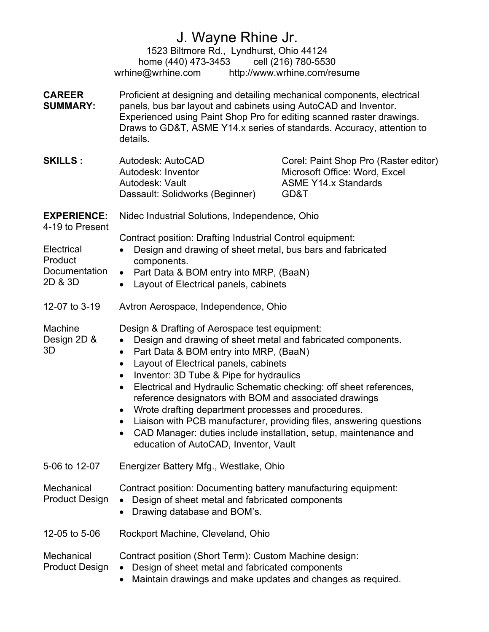## J. Wayne Rhine Jr. 1523 Biltmore Rd., Lyndhurst, Ohio 44124 home (440) 473-3453 cell (216) 780-5530 wrhine@wrhine.com http://www.wrhine.com/resume CAREER SUMMARY: Proficient at designing and detailing mechanical components, electrical panels, bus bar layout and cabinets using AutoCAD and Inventor. Experienced using Paint Shop Pro for editing scanned raster drawings. Draws to GD&T, ASME Y14.x series of standards. Accuracy, attention to details. **SKILLS :** Autodesk: AutoCAD Autodesk: Inventor Autodesk: Vault Dassault: Solidworks (Beginner) Corel: Paint Shop Pro (Raster editor) Microsoft Office: Word, Excel ASME Y14.x Standards GD&T EXPERIENCE: 4-19 to Present Electrical Product Documentation 2D & 3D Nidec Industrial Solutions, Independence, Ohio Contract position: Drafting Industrial Control equipment: Design and drawing of sheet metal, bus bars and fabricated components. • Part Data & BOM entry into MRP, (BaaN) • Layout of Electrical panels, cabinets 12-07 to 3-19 Machine Design 2D & 3D Avtron Aerospace, Independence, Ohio Design & Drafting of Aerospace test equipment: Design and drawing of sheet metal and fabricated components. • Part Data & BOM entry into MRP, (BaaN) • Layout of Electrical panels, cabinets • Inventor: 3D Tube & Pipe for hydraulics Electrical and Hydraulic Schematic checking: off sheet references, reference designators with BOM and associated drawings Wrote drafting department processes and procedures. Liaison with PCB manufacturer, providing files, answering questions CAD Manager: duties include installation, setup, maintenance and education of AutoCAD, Inventor, Vault 5-06 to 12-07 **Mechanical** Product Design Energizer Battery Mfg., Westlake, Ohio Contract position: Documenting battery manufacturing equipment: Design of sheet metal and fabricated components

• Drawing database and BOM's.

12-05 to 5-06 Rockport Machine, Cleveland, Ohio

**Mechanical** Contract position (Short Term): Custom Machine design:

- Product Design Design of sheet metal and fabricated components
	- Maintain drawings and make updates and changes as required.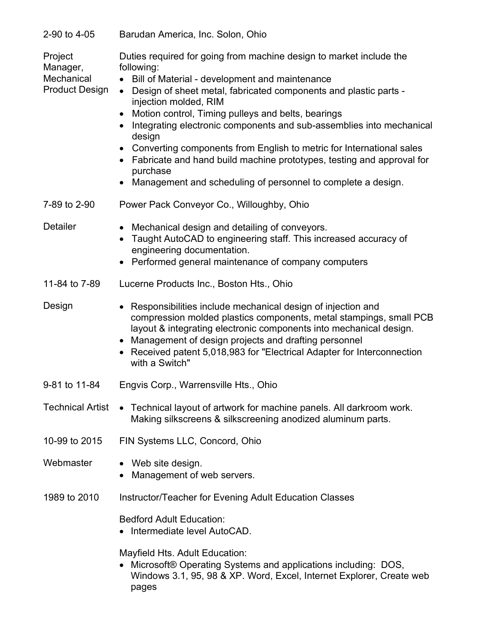| 2-90 to 4-05 | Barudan America, Inc. Solon, Ohio |  |
|--------------|-----------------------------------|--|
|              |                                   |  |

| Project<br>Manager,<br>Mechanical<br><b>Product Design</b> | Duties required for going from machine design to market include the<br>following:<br>Bill of Material - development and maintenance<br>Design of sheet metal, fabricated components and plastic parts -<br>$\bullet$<br>injection molded, RIM<br>Motion control, Timing pulleys and belts, bearings<br>Integrating electronic components and sub-assemblies into mechanical<br>design<br>Converting components from English to metric for International sales<br>Fabricate and hand build machine prototypes, testing and approval for<br>purchase<br>Management and scheduling of personnel to complete a design. |
|------------------------------------------------------------|--------------------------------------------------------------------------------------------------------------------------------------------------------------------------------------------------------------------------------------------------------------------------------------------------------------------------------------------------------------------------------------------------------------------------------------------------------------------------------------------------------------------------------------------------------------------------------------------------------------------|
| 7-89 to 2-90                                               | Power Pack Conveyor Co., Willoughby, Ohio                                                                                                                                                                                                                                                                                                                                                                                                                                                                                                                                                                          |
| <b>Detailer</b>                                            | • Mechanical design and detailing of conveyors.<br>Taught AutoCAD to engineering staff. This increased accuracy of<br>engineering documentation.<br>Performed general maintenance of company computers                                                                                                                                                                                                                                                                                                                                                                                                             |
| 11-84 to 7-89                                              | Lucerne Products Inc., Boston Hts., Ohio                                                                                                                                                                                                                                                                                                                                                                                                                                                                                                                                                                           |
| Design                                                     | Responsibilities include mechanical design of injection and<br>compression molded plastics components, metal stampings, small PCB<br>layout & integrating electronic components into mechanical design.<br>Management of design projects and drafting personnel<br>Received patent 5,018,983 for "Electrical Adapter for Interconnection<br>with a Switch"                                                                                                                                                                                                                                                         |
| 9-81 to 11-84                                              | Engvis Corp., Warrensville Hts., Ohio                                                                                                                                                                                                                                                                                                                                                                                                                                                                                                                                                                              |
|                                                            | Technical Artist • Technical layout of artwork for machine panels. All darkroom work.<br>Making silkscreens & silkscreening anodized aluminum parts.                                                                                                                                                                                                                                                                                                                                                                                                                                                               |
| 10-99 to 2015                                              | FIN Systems LLC, Concord, Ohio                                                                                                                                                                                                                                                                                                                                                                                                                                                                                                                                                                                     |
| Webmaster                                                  | • Web site design.<br>Management of web servers.                                                                                                                                                                                                                                                                                                                                                                                                                                                                                                                                                                   |
| 1989 to 2010                                               | Instructor/Teacher for Evening Adult Education Classes                                                                                                                                                                                                                                                                                                                                                                                                                                                                                                                                                             |
|                                                            | <b>Bedford Adult Education:</b><br>Intermediate level AutoCAD.                                                                                                                                                                                                                                                                                                                                                                                                                                                                                                                                                     |
|                                                            | Mayfield Hts. Adult Education:<br>Microsoft® Operating Systems and applications including: DOS,<br>Windows 3.1, 95, 98 & XP. Word, Excel, Internet Explorer, Create web<br>pages                                                                                                                                                                                                                                                                                                                                                                                                                                   |